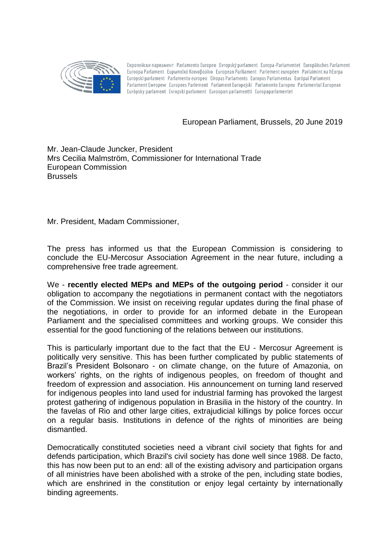

Европейски парламент Parlamento Europeo Evropský parlament Europa-Parlamentet Europäisches Parlament Euroopa Parlament Eupwπαϊκό Κοινοβούλιο European Parliament Parlement européen Parlaimint na hEorpa Europski parlament Parlamento europeo Eiropas Parlaments Europos Parlamentas Európai Parlament Parlament Ewropew Europees Parlement Parlament Europejski Parlamento Europeu Parlamentul European Európsky parlament Evropski parlament Euroopan parlamentti Europaparlamentet

European Parliament, Brussels, 20 June 2019

## Mr. Jean-Claude Juncker, President Mrs Cecilia Malmström, Commissioner for International Trade European Commission **Brussels**

Mr. President, Madam Commissioner,

The press has informed us that the European Commission is considering to conclude the EU-Mercosur Association Agreement in the near future, including a comprehensive free trade agreement.

We - **recently elected MEPs and MEPs of the outgoing period** - consider it our obligation to accompany the negotiations in permanent contact with the negotiators of the Commission. We insist on receiving regular updates during the final phase of the negotiations, in order to provide for an informed debate in the European Parliament and the specialised committees and working groups. We consider this essential for the good functioning of the relations between our institutions.

This is particularly important due to the fact that the EU - Mercosur Agreement is politically very sensitive. This has been further complicated by public statements of Brazil's President Bolsonaro - on climate change, on the future of Amazonia, on workers' rights, on the rights of indigenous peoples, on freedom of thought and freedom of expression and association. His announcement on turning land reserved for indigenous peoples into land used for industrial farming has provoked the largest protest gathering of indigenous population in Brasilia in the history of the country. In the favelas of Rio and other large cities, extrajudicial killings by police forces occur on a regular basis. Institutions in defence of the rights of minorities are being dismantled.

Democratically constituted societies need a vibrant civil society that fights for and defends participation, which Brazil's civil society has done well since 1988. De facto, this has now been put to an end: all of the existing advisory and participation organs of all ministries have been abolished with a stroke of the pen, including state bodies, which are enshrined in the constitution or enjoy legal certainty by internationally binding agreements.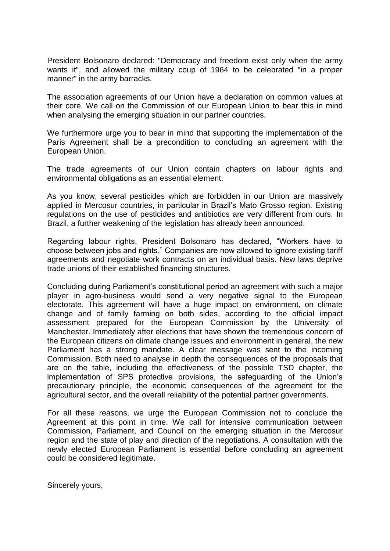President Bolsonaro declared: "Democracy and freedom exist only when the army wants it", and allowed the military coup of 1964 to be celebrated "in a proper manner" in the army barracks.

The association agreements of our Union have a declaration on common values at their core. We call on the Commission of our European Union to bear this in mind when analysing the emerging situation in our partner countries.

We furthermore urge you to bear in mind that supporting the implementation of the Paris Agreement shall be a precondition to concluding an agreement with the European Union.

The trade agreements of our Union contain chapters on labour rights and environmental obligations as an essential element.

As you know, several pesticides which are forbidden in our Union are massively applied in Mercosur countries, in particular in Brazil's Mato Grosso region. Existing regulations on the use of pesticides and antibiotics are very different from ours. In Brazil, a further weakening of the legislation has already been announced.

Regarding labour rights, President Bolsonaro has declared, "Workers have to choose between jobs and rights." Companies are now allowed to ignore existing tariff agreements and negotiate work contracts on an individual basis. New laws deprive trade unions of their established financing structures.

Concluding during Parliament's constitutional period an agreement with such a major player in agro-business would send a very negative signal to the European electorate. This agreement will have a huge impact on environment, on climate change and of family farming on both sides, according to the official impact assessment prepared for the European Commission by the University of Manchester. Immediately after elections that have shown the tremendous concern of the European citizens on climate change issues and environment in general, the new Parliament has a strong mandate. A clear message was sent to the incoming Commission. Both need to analyse in depth the consequences of the proposals that are on the table, including the effectiveness of the possible TSD chapter, the implementation of SPS protective provisions, the safeguarding of the Union's precautionary principle, the economic consequences of the agreement for the agricultural sector, and the overall reliability of the potential partner governments.

For all these reasons, we urge the European Commission not to conclude the Agreement at this point in time. We call for intensive communication between Commission, Parliament, and Council on the emerging situation in the Mercosur region and the state of play and direction of the negotiations. A consultation with the newly elected European Parliament is essential before concluding an agreement could be considered legitimate.

Sincerely yours,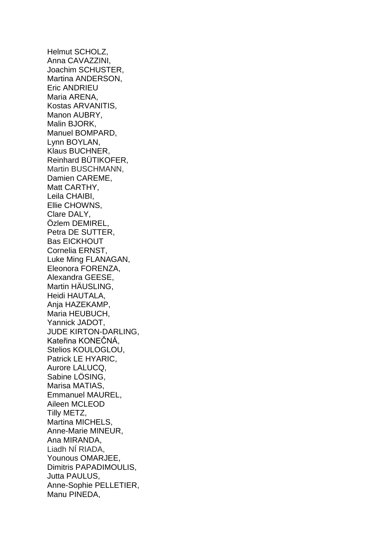Helmut SCHOLZ, Anna CAVAZZINI, Joachim SCHUSTER, Martina ANDERSON, Eric ANDRIEU Maria ARENA, Kostas ARVANITIS, Manon AUBRY, Malin BJORK, Manuel BOMPARD, Lynn BOYLAN, Klaus BUCHNER, Reinhard BÜTIKOFER, Martin BUSCHMANN, Damien CAREME, Matt CARTHY, Leila CHAIBI, Ellie CHOWNS, Clare DALY, Özlem DEMIREL, Petra DE SUTTER, Bas EICKHOUT Cornelia ERNST, Luke Ming FLANAGAN, Eleonora FORENZA, Alexandra GEESE, Martin HÄUSLING, Heidi HAUTALA, Ania HAZEKAMP. Maria HEUBUCH, Yannick JADOT, JUDE KIRTON-DARLING, Kateřina KONEČNÁ, Stelios KOULOGLOU, Patrick LE HYARIC, Aurore LALUCQ, Sabine LÖSING, Marisa MATIAS, Emmanuel MAUREL, Aileen MCLEOD Tilly METZ, Martina MICHELS, Anne-Marie MINEUR, Ana MIRANDA, Liadh NÍ RIADA, Younous OMARJEE, Dimitris PAPADIMOULIS, Jutta PAULUS, Anne-Sophie PELLETIER, Manu PINEDA,